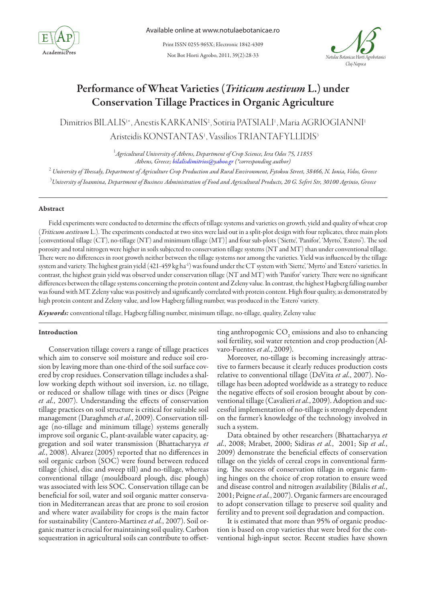

Not Bot Horti Agrobo, 2011, 39(2):28-33 Print ISSN 0255-965X; Electronic 1842-4309



# Performance of Wheat Varieties (*Triticum aestivum* L.) under Conservation Tillage Practices in Organic Agriculture

Dimitrios BILALIS<sup>1</sup>\*, Anestis KARKANIS<sup>2</sup>, Sotiria PATSIALI<sup>1</sup>, Maria AGRIOGIANNI<sup>1</sup> Aristeidis KONSTANTAS<sup>1</sup>, Vassilios TRIANTAFYLLIDIS<sup>3</sup>

> 1 *Agricultural University of Athens, Department of Crop Science, Iera Odos 75, 11855 Athens, Greece; bilalisdimitrios@yahoo.gr (\*corresponding author)*

<sup>2</sup> University of Thessaly, Department of Agriculture Crop Production and Rural Environment, Fytokou Street, 38466, N. Ionia, Volos, Greece 3 *University of Ioannina, Department of Business Administration of Food and Agricultural Products, 20 G. Seferi Str, 30100 Agrinio, Greece*

# Abstract

Field experiments were conducted to determine the effects of tillage systems and varieties on growth, yield and quality of wheat crop (*Triticum aestivum* L.). The experiments conducted at two sites were laid out in a split-plot design with four replicates, three main plots [conventional tillage (CT), no-tillage (NT) and minimum tillage (MT)] and four sub-plots ('Siette', 'Panifor', 'Myrto', 'Estero'). The soil porosity and total nitrogen were higher in soils subjected to conservation tillage systems (NT and MT) than under conventional tillage. There were no differences in root growth neither between the tillage systems nor among the varieties. Yield was influenced by the tillage system and variety. The highest grain yield (421-459 kg ha<sup>-1</sup>) was found under the CT system with 'Siette', 'Myrto' and 'Estero' varieties. In contrast, the highest grain yield was observed under conservation tillage (NT and MT) with 'Panifor' variety. There were no significant differences between the tillage systems concerning the protein content and Zeleny value. In contrast, the highest Hagberg falling number was found with MT. Zeleny value was positively and significantly correlated with protein content. High flour quality, as demonstrated by high protein content and Zeleny value, and low Hagberg falling number, was produced in the 'Estero' variety.

*Keywords:* conventional tillage, Hagberg falling number, minimum tillage, no-tillage, quality, Zeleny value

## Introduction

Conservation tillage covers a range of tillage practices which aim to conserve soil moisture and reduce soil erosion by leaving more than one-third of the soil surface covered by crop residues. Conservation tillage includes a shallow working depth without soil inversion, i.e. no tillage, or reduced or shallow tillage with tines or discs (Peigne *et al.*, 2007). Understanding the effects of conservation tillage practices on soil structure is critical for suitable soil management (Daraghmeh *et al.*, 2009). Conservation tillage (no-tillage and minimum tillage) systems generally improve soil organic C, plant-available water capacity, aggregation and soil water transmission (Bhattacharyya *et al.*, 2008). Alvarez(2005) reported that no differences in soil organic carbon (SOC) were found between reduced tillage (chisel, disc and sweep till) and no-tillage, whereas conventional tillage (mouldboard plough, disc plough) was associated with less SOC. Conservation tillage can be beneficial for soil, water and soil organic matter conservation in Mediterranean areas that are prone to soil erosion and where water availability for crops is the main factor for sustainability (Cantero-Martinez *et al.*, 2007). Soil organic matter is crucial for maintaining soil quality. Carbon sequestration in agricultural soils can contribute to offsetting anthropogenic  $CO<sub>2</sub>$  emissions and also to enhancing soil fertility, soil water retention and crop production(Alvaro-Fuentes *et al.*, 2009).

Moreover, no-tillage is becoming increasingly attractive to farmers because it clearly reduces production costs relative to conventional tillage (DeVita *et al.*, 2007). Notillage has been adopted worldwide as a strategy to reduce the negative effects of soil erosion brought about by conventional tillage (Cavalieri *et al.*, 2009). Adoption and successful implementation of no-tillage is strongly dependent on the farmer's knowledge of the technology involved in such a system.

Data obtained by other researchers (Bhattacharyya *et al.*, 2008; Mrabet, 2000; Sidiras *et al.*, 2001; Sip *et al.*, 2009) demonstrate the beneficial effects of conservation tillage on the yields of cereal crops in conventional farming. The success of conservation tillage in organic farming hinges on the choice of crop rotation to ensure weed and disease control and nitrogen availability (Bilalis *et al.*, 2001; Peigne *et al.*, 2007). Organic farmers are encouraged to adopt conservation tillage to preserve soil quality and fertility and to prevent soil degradation and compaction.

It is estimated that more than 95% of organic production is based on crop varieties that were bred for the conventional high-input sector. Recent studies have shown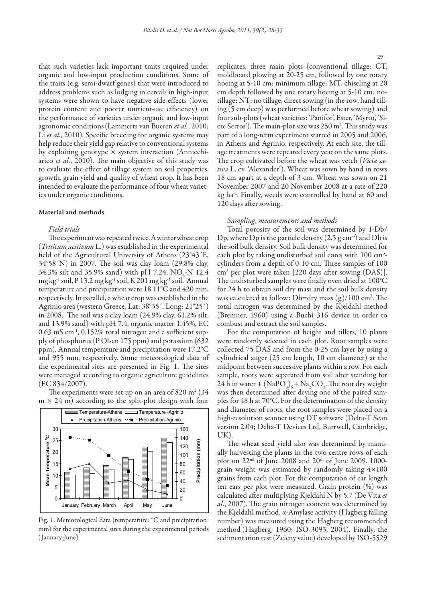that such varieties lack important traits required under organic and low-input production conditions. Some of the traits (e.g. semi-dwarf genes) that were introduced to address problems such as lodging in cereals in high-input systems were shown to have negative side-effects (lower protein content and poorer nutrient-use efficiency) on the performance of varieties under organic and low-input agronomic conditions(Lammerts van Bueren *et al.*, 2010; Li *et al.*, 2010). Specific breeding for organic systems may help reduce their yield gap relative to conventional systems by exploiting genotype  $\times$  system interaction (Annicchiarico *et al.*, 2010). The main objective of this study was to evaluate the effect of tillage system on soil properties, growth, grain yield and quality of wheat crop. It has been intended to evaluate the performance of four wheat varieties under organic conditions.

## Material and methods

# *Field trials*

The experiment was repeated twice. A winter wheat crop (*Triticum aestivum* L.) was established in the experimental field of the Agricultural University of Athens (23°43´E, 34°58´N) in 2007. The soil was clay loam (29.8% clay, 34.3% silt and 35.9% sand) with pH 7.24,  $NO_3$ -N 12.4 mg kg-1 soil, P 13.2 mg kg-1 soil, K 201 mg kg-1 soil. Annual temperature and precipitation were 18.11°C and 420 mm, respectively. In parallel, a wheat crop was established in the Agrinio area (western Greece, Lat: 38°35´, Long: 21°25´) in 2008. The soil was a clay loam (24.9% clay, 61.2% silt, and 13.9% sand) with pH 7.4, organic matter 1.45%, EC 0.63 mS cm-1, 0.152% total nitrogen and a sufficient supply of phosphorus (P Olsen 175 ppm) and potassium (632 ppm). Annual temperature and precipitation were 17.2°C and 955 mm, respectively. Some meteorological data of the experimental sites are presented in Fig. 1. The sites were managed according to organic agriculture guidelines (EC 834/2007).

The experiments were set up on an area of 820 m<sup>2</sup> (34  $m \times 24$  m) according to the split-plot design with four



Fig. 1. Meteorological data (temperature: °C and precipitation: mm) for the experimental sites during the experimental periods ( January-June).

replicates, three main plots (conventional tillage: CT, moldboard plowing at 20-25 cm, followed by one rotary hoeing at 5-10 cm; minimum tillage: MT, chiseling at 20 cm depth followed by one rotary hoeing at 5-10 cm; notillage: NT: no tillage, direct sowing (in the row, hand tilling (5 cm deep) was performed before wheat sowing) and four sub-plots (wheat varieties: 'Panifor', Ester, 'Myrto', 'Siete Serros'). The main-plot size was 250 m<sup>2</sup>. This study was part of a long-term experiment started in 2005 and 2006, in Athens and Agrinio, respectively. At each site, the tillage treatments were repeated every year on the same plots. The crop cultivated before the wheat was vetch (*Vicia sativa* L. cv. 'Alexander'). Wheat was sown by hand in rows 18 cm apart at a depth of 3 cm. Wheat was sown on 21 November 2007 and 20 November 2008 at a rate of 220 kg ha-1. Finally, weeds were controlled by hand at 60 and 120 days after sowing.

## *Sampling, measurements and methods*

Total porosity of the soil was determined by 1-Db/ Dp, where Dp is the particle density  $(2.5 \text{ g cm}^{-3})$  and Db is the soil bulk density. Soil bulk density was determined for each plot by taking undisturbed soil cores with 100 cm<sup>3</sup>cylinders from a depth of 0-10 cm. Three samples of 100 cm3 per plot were taken [220 days after sowing (DAS)]. The undisturbed samples were finally oven dried at 100°C for 24 h to obtain soil dry mass and the soil bulk density was calculated as follow: Db=dry mass  $(g)/100$  cm<sup>3</sup>. The total nitrogen was determined by the Kjeldahl method (Bremner, 1960) using a Buchi 316 device in order to combust and extract the soil samples.

For the computation of height and tillers, 10 plants were randomly selected in each plot. Root samples were collected 75 DAS and from the 0-25 cm layer by using a cylindrical auger (25 cm length, 10 cm diameter) at the midpoint between successive plants within a row. For each sample, roots were separated from soil after standing for 24 h in water +  $(NaPO<sub>3</sub>)<sub>6</sub> + Na<sub>2</sub>CO<sub>3</sub>$ . The root dry weight was then determined after drying one of the paired samples for 48 h at 70°C. For the determination of the density and diameter of roots, the root samples were placed on a high-resolution scanner using DT software (Delta-T Scan version 2.04; Delta-T Devices Ltd, Burrwell, Cambridge, UK).

The wheat seed yield also was determined by manually harvesting the plants in the two centre rows of each plot on  $22<sup>nd</sup>$  of June 2008 and  $20<sup>th</sup>$  of June 2009. 1000grain weight was estimated by randomly taking 4×100 grains from each plot. For the computation of ear length ten ears per plot were measured. Grain protein (%) was calculated after multiplying Kjeldahl N by 5.7 (De Vita *et al.*, 2007). The grain nitrogen content was determined by the Kjeldahl method. α-Αmylase activity (Hagberg falling number) was measured using the Hagberg recommended method (Hagberg, 1960; ISO-3093, 2004). Finally, the sedimentation test (Zeleny value) developed by ISO-5529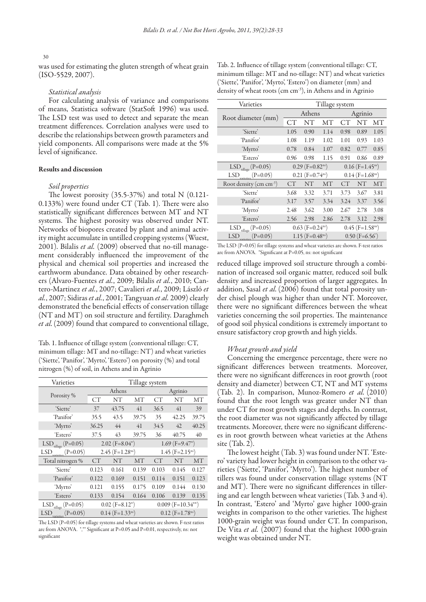#### 30

was used for estimating the gluten strength of wheat grain (ISO-5529, 2007).

## *Statistical analysis*

For calculating analysis of variance and comparisons of means, Statistica software (StatSoft 1996) was used. The LSD test was used to detect and separate the mean treatment differences. Correlation analyses were used to describe the relationships between growth parameters and yield components. All comparisons were made at the 5% level of significance.

# Results and discussion

## *Soil properties*

The lowest porosity (35.5-37%) and total N (0.121- 0.133%) were found under CT (Tab. 1). There were also statistically significant differences between MT and NT systems. The highest porosity was observed under NT. Networks of biopores created by plant and animal activity might accumulate in untilled cropping systems (Wuest, 2001). Bilalis *et al.* (2009) observed that no-till management considerably influenced the improvement of the physical and chemical soil properties and increased the earthworm abundance. Data obtained by other researchers (Alvaro-Fuentes *et al.*, 2009; Bilalis *et al.*, 2010; Cantero-Martinez *et al.*, 2007; Cavalieri *et al.*, 2009; László *et al.*, 2007; Sidiras *et al.*, 2001; Tangyuan *et al.* 2009) clearly demonstrated the beneficial effects of conservation tillage (NT and MT) on soil structure and fertility. Daraghmeh *et al.*(2009) found that compared to conventional tillage,

Tab. 1. Influence of tillage system (conventional tillage: CT, minimum tillage: MT and no-tillage: NT) and wheat varieties ('Siette', 'Panifor', 'Myrto', 'Estero') on porosity (%) and total nitrogen (%) of soil, in Athens and in Agrinio

| Varieties                           | Tillage system                 |                                |       |                                |                                |       |  |
|-------------------------------------|--------------------------------|--------------------------------|-------|--------------------------------|--------------------------------|-------|--|
| Porosity %                          |                                | Athens                         |       | Agrinio                        |                                |       |  |
|                                     | CT                             | NΤ                             | MТ    | СT                             | NΤ                             | MТ    |  |
| 'Siette'                            | 37                             | 43.75                          | 41    | 36.5                           | 41                             | 39    |  |
| 'Panifor'                           | 35.5                           | 43.5                           | 39.75 | 35                             | 42.25                          | 39.75 |  |
| 'Myrto'                             | 36.25                          | 44                             | 41    | 34.5                           | 42                             | 40.25 |  |
| 'Estero'                            | 37.5                           | 43                             | 39.75 | 36                             | 40.75                          | 40    |  |
| $LSD$ <sub>tillage</sub> (P=0.05)   |                                | $2.02$ (F=8.04*)               |       | $1.69$ (F=9.47 <sup>*</sup> )  |                                |       |  |
| $LSD_{varieties}(P=0.05)$           |                                | $2.45$ (F=1.28 <sup>ns</sup> ) |       | $1.45$ (F=2.15 <sup>ns</sup> ) |                                |       |  |
| Total nitrogen %                    | СT                             | NT                             | MT    | СT                             | NT                             | MТ    |  |
| 'Siette'                            | 0.123                          | 0.161                          | 0.139 | 0.103                          | 0.145                          | 0.127 |  |
| 'Panifor'                           | 0.122                          | 0.169                          | 0.151 | 0.114                          | 0.151                          | 0.123 |  |
| 'Myrto'                             | 0.121                          | 0.155                          | 0.175 | 0.109                          | 0.144                          | 0.130 |  |
| 'Estero'                            | 0.133                          | 0.154                          | 0.164 | 0.106                          | 0.139                          | 0.135 |  |
| $LSD$ <sub>tillage</sub> (P=0.05)   | $0.02$ (F=8.12 <sup>*</sup> )  |                                |       | $0.009$ (F=10.34**)            |                                |       |  |
| $LSD$ <sub>varieties</sub> (P=0.05) | $0.14$ (F=1.33 <sup>ns</sup> ) |                                |       |                                | $0.12$ (F=1.78 <sup>ns</sup> ) |       |  |

The LSD (P=0.05) for tillage systems and wheat varieties are shown. F-test ratios are from ANOVA. \*,\*\* Significant at P=0.05 and P=0.01, respectively, ns: not significant

Tab. 2. Influence of tillage system (conventional tillage: CT, minimum tillage: MT and no-tillage: NT) and wheat varieties ('Siette', 'Panifor', 'Myrto', 'Estero') on diameter (mm) and density of wheat roots (cm cm<sup>-3</sup>), in Athens and in Agrinio

| Varieties                           | Tillage system                 |                               |      |                                |      |           |  |
|-------------------------------------|--------------------------------|-------------------------------|------|--------------------------------|------|-----------|--|
|                                     |                                | Athens                        |      | Agrinio                        |      |           |  |
| Root diameter (mm)                  | CT                             | NT                            | MТ   | CT                             | NΤ   | <b>MT</b> |  |
| 'Siette'                            | 1.05                           | 0.90                          | 1.14 | 0.98                           | 0.89 | 1.05      |  |
| 'Panifor'                           | 1.08                           | 1.19                          | 1.02 | 1.01                           | 0.93 | 1.03      |  |
| 'Myrto'                             | 0.78                           | 0.84                          | 1.07 | 0.82                           | 0.77 | 0.85      |  |
| 'Estero'                            | 0.96                           | 0.98                          | 1.15 | 0.91                           | 0.86 | 0.89      |  |
| $LSD_{\text{tillage}}(P=0.05)$      | $0.29$ (F=0.82 <sup>ns</sup> ) |                               |      | $0.16$ (F=1.45 <sup>ns</sup> ) |      |           |  |
| $LSD_{varieties}(P=0.05)$           |                                | $0.21$ (F=0.74 <sup>ns)</sup> |      | $0.14$ (F=1.68 <sup>ns)</sup>  |      |           |  |
| Root density (cm cm <sup>-3</sup> ) | <b>CT</b>                      | NΤ                            | МT   | <b>CT</b>                      | NT   | MT        |  |
| 'Siette'                            | 3.68                           | 3.32                          | 3.71 | 3.73                           | 3.67 | 3.81      |  |
| 'Panifor'                           | 3.17                           | 3.57                          | 3.34 | 3.24                           | 3.37 | 3.56      |  |
| 'Myrto'                             | 2.48                           | 3.62                          | 3.00 | 2.67                           | 2.78 | 3.08      |  |
| 'Estero'                            | 2.56                           | 2.98                          | 2.86 | 2.78                           | 3.12 | 2.98      |  |
| $LSD_{\text{tillage}} (P=0.05)$     | $0.63$ (F=0.24 <sup>ns</sup> ) |                               |      | $0.45$ (F=1.58 <sup>ns)</sup>  |      |           |  |
| $LSD$ <sub>varieties</sub> (P=0.05) | $1.15$ (F=0.48 <sup>ns</sup> ) |                               |      | $0.50$ (F=6.56)                |      |           |  |

The LSD (P=0.05) for tillage systems and wheat varieties are shown. F-test ratios are from ANOVA. \*Significant at P=0.05, ns: not significant

reduced tillage improved soil structure through a combination of increased soil organic matter, reduced soil bulk density and increased proportion of larger aggregates. In addition, Sasal *et al.*(2006) found that total porosity under chisel plough was higher than under NT. Moreover, there were no significant differences between the wheat varieties concerning the soil properties. The maintenance of good soil physical conditions is extremely important to ensure satisfactory crop growth and high yields.

## *Wheat growth and yield*

Concerning the emergence percentage, there were no significant differences between treatments. Moreover, there were no significant differences in root growth (root density and diameter) between CT, NT and MT systems (Tab. 2). In comparison, Munoz-Romero *et al.* (2010) found that the root length was greater under NT than under CT for most growth stages and depths. In contrast, the root diameter was not significantly affected by tillage treatments. Moreover, there were no significant differences in root growth between wheat varieties at the Athens site (Tab. 2).

The lowest height (Tab. 3) was found under NT. 'Estero' variety had lower height in comparison to the other varieties ('Siette', 'Panifor', 'Myrto'). The highest number of tillers was found under conservation tillage systems (NT and MT). There were no significant differences in tillering and ear length between wheat varieties (Tab. 3 and 4). In contrast, 'Estero' and 'Myrto' gave higher 1000-grain weights in comparison to the other varieties. The highest 1000-grain weight was found under CT. In comparison, De Vita *et al.* (2007) found that the highest 1000-grain weight was obtained under NT.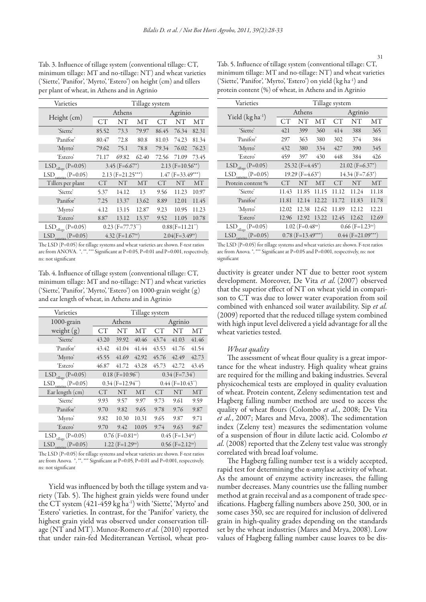Tab. 3. Influence of tillage system (conventional tillage: CT, minimum tillage: MT and no-tillage: NT) and wheat varieties ('Siette', 'Panifor', 'Myrto', 'Estero') on height (cm) and tillers per plant of wheat, in Athens and in Agrinio

| Varieties                           | Tillage system                  |                               |           |                     |       |           |  |
|-------------------------------------|---------------------------------|-------------------------------|-----------|---------------------|-------|-----------|--|
|                                     |                                 | Athens                        |           | Agrinio             |       |           |  |
| Height (cm)                         | <b>CT</b>                       | NT                            | MТ        | CТ                  | NT    | MТ        |  |
| 'Siette'                            | 85.52                           | 73.3                          | 79.97     | 86.45               | 76.34 | 82.31     |  |
| 'Panifor'                           | 80.47                           | 72.8                          | 80.8      | 81.03               | 74.23 | 81.34     |  |
| 'Myrto'                             | 79.62                           | 75.1                          | 78.8      | 79.34               | 76.02 | 76.23     |  |
| 'Estero'                            | 71.17                           | 69.82                         | 62.40     | 72.56               | 71.09 | 73.45     |  |
| $LSD_{\text{tillage}} (P=0.05)$     |                                 | $3.45$ (F=6.67 <sup>*</sup> ) |           | $2.13$ (F=10.56**)  |       |           |  |
| $LSD$ <sub>varieries</sub> (P=0.05) |                                 | $2.13$ (F=21.25***)           |           | $1.47$ (F=33.49***) |       |           |  |
| Tillers per plant                   | <b>CT</b>                       | NT                            | <b>MT</b> | CT                  | NT    | <b>MT</b> |  |
| 'Siette'                            | 5.37                            | 14.12                         | 13        | 9.56                | 11.23 | 10.97     |  |
| 'Panifor'                           | 7.25                            | 13.37                         | 13.62     | 8.89                | 12.01 | 11.45     |  |
| 'Myrto'                             | 4.12                            | 13.15                         | 12.87     | 9.23                | 10.95 | 11.23     |  |
| 'Estero'                            | 8.87                            | 13.12                         | 13.37     | 9.52                | 11.05 | 10.78     |  |
| $LSD_{\text{tilage}} (P=0.05)$      | $0.23$ (F=77.73 <sup>""</sup> ) |                               |           | $0.88(F=11.21^{n})$ |       |           |  |
| $LSD$ <sub>varieties</sub> (P=0.05) | 4.32 $(F=1.67^{ns})$            |                               |           | $2.04(F=3.49^{ns})$ |       |           |  |

The LSD (P=0.05) for tillage systems and wheat varieties are shown. F-test ratios are from ANOVA. \*, \*\*, \*\*\* Significant at P=0.05, P=0.01 and P=0.001, respectively, ns: not significant

Tab. 4. Influence of tillage system (conventional tillage: CT, minimum tillage: MT and no-tillage: NT) and wheat varieties ('Siette', 'Panifor', 'Myrto', 'Estero') on 1000-grain weight (g) and ear length of wheat, in Athens and in Agrinio

| Varieties                           | Tillage system                  |                                  |       |                                 |       |       |  |
|-------------------------------------|---------------------------------|----------------------------------|-------|---------------------------------|-------|-------|--|
| 1000-grain                          | Athens                          |                                  |       | Agrinio                         |       |       |  |
| weight $(g)$                        | <b>CT</b>                       | NT                               | MТ    | CT                              | NT    | MТ    |  |
| 'Siette'                            | 43.20                           | 39.92                            | 40.46 | 43.74                           | 41.03 | 41.46 |  |
| 'Panifor'                           | 43.42                           | 41.04                            | 41.44 | 43.53                           | 41.76 | 41.54 |  |
| 'Myrto'                             | 45.55                           | 41.69                            | 42.92 | 45.76                           | 42.49 | 42.73 |  |
| 'Estero'                            | 46.87                           | 41.72                            | 43.28 | 45.73                           | 42.72 | 43.45 |  |
| $LSD_{\text{tillage}} (P=0.05)$     | $0.18$ (F=10.96 <sup>**</sup> ) |                                  |       | $0.34$ (F=7.34)                 |       |       |  |
| $LSD$ <sub>varieties</sub> (P=0.05) |                                 | $0.34$ (F=12.94 <sup>***</sup> ) |       | $0.44$ (F=10.43 <sup>**</sup> ) |       |       |  |
| Ear length (cm)                     | <b>CT</b>                       | NT                               | MT    | СT                              | NT    | MT    |  |
| 'Siette'                            | 9.93                            | 9.57                             | 9.97  | 9.73                            | 9.61  | 9.59  |  |
| 'Panifor'                           | 9.70                            | 9.82                             | 9.65  | 9.78                            | 9.76  | 9.87  |  |
| 'Myrto'                             | 9.82                            | 10.30                            | 10.31 | 9.65                            | 9.87  | 9.71  |  |
| 'Estero'                            | 9.70                            | 9.42                             | 10.05 | 9.74                            | 9.63  | 9.67  |  |
| $LSD_{\text{tillage}} (P=0.05)$     | $0.76$ (F=0.81 <sup>ns</sup> )  |                                  |       | $0.45$ (F=1.34 <sup>ns</sup> )  |       |       |  |
| $LSD$ <sub>varieties</sub> (P=0.05) | $1.22$ (F=1.29 <sup>ns</sup> )  |                                  |       | $0.56$ (F=2.12 <sup>ns</sup> )  |       |       |  |

The LSD (P=0.05) for tillage systems and wheat varieties are shown. F-test ratios are from Anova. \*, \*\*, \*\*\* Significant at P=0.05, P=0.01 and P=0.001, respectively, ns: not significant

Yield was influenced by both the tillage system and variety (Tab. 5). The highest grain yields were found under the CT system (421-459 kg ha<sup>-1</sup>) with 'Siette', 'Myrto' and 'Estero' varieties. In contrast, for the 'Panifor' variety, the highest grain yield was observed under conservation tillage (NT and MT). Munoz-Romero *et al.* (2010) reported that under rain-fed Mediterranean Vertisol, wheat pro-

Tab. 5. Influence of tillage system (conventional tillage: CT, minimum tillage: MT and no-tillage: NT) and wheat varieties ('Siette', 'Panifor', 'Myrto', 'Estero') on yield (kg ha-1) and protein content (%) of wheat, in Athens and in Agrinio

| Varieties                           | Tillage system                 |                                |       |                                |           |           |  |
|-------------------------------------|--------------------------------|--------------------------------|-------|--------------------------------|-----------|-----------|--|
| Yield $(kg ha^{-1})$                |                                | Athens                         |       | Agrinio                        |           |           |  |
|                                     | CT <sup>-</sup>                | NT                             | MT    | СT                             | <b>NT</b> | MT        |  |
| 'Siette'                            | 421                            | 399                            | 360   | 414                            | 388       | 365       |  |
| 'Panifor'                           | 297                            | 363                            | 380   | 302                            | 374       | 384       |  |
| 'Myrto'                             | 432                            | 380                            | 334   | 427                            | 390       | 345       |  |
| 'Estero'                            | 459                            | 397                            | 430   | 448                            | 384       | 426       |  |
| $LSD$ <sub>tillage</sub> (P=0.05)   | $25.32$ (F=4.45 <sup>*</sup> ) |                                |       | $21.02$ (F=6.37 <sup>*</sup> ) |           |           |  |
| $LSD_{varieties}(P=0.05)$           |                                | $19.29$ (F=4.63 <sup>*</sup> ) |       | $14.34 (F=7.63^*)$             |           |           |  |
| Protein content %                   | СT                             | NT                             | MT    | СT                             | NT        | <b>MT</b> |  |
| 'Siette'                            | 11.43                          | 11.85                          | 11.15 | 11.12                          | 11.24     | 11.18     |  |
| 'Panifor'                           | 11.81                          | 12.14                          | 12.22 | 11.72                          | 11.83     | 11.78     |  |
| 'Myrto'                             | 12.02                          | 12.38                          | 12.62 | 11.89                          | 12.12     | 12.21     |  |
| 'Estero'                            | 12.96                          | 12.92                          | 13.22 | 12.45                          | 12.62     | 12.69     |  |
| $LSD$ <sub>tillage</sub> (P=0.05)   | $1.02$ (F=0.48 <sup>ns</sup> ) |                                |       | $0.66$ (F=1.23 <sup>ns</sup> ) |           |           |  |
| $LSD$ <sub>varieties</sub> (P=0.05) | $0.78$ (F=13.49***)            |                                |       | $0.44$ (F=21.09***)            |           |           |  |

The LSD (P=0.05) for tillage systems and wheat varieties are shown. F-test ratios are from Anova. \*, \*\*\* Significant at P=0.05 and P=0.001, respectively, ns: not significant

ductivity is greater under NT due to better root system development. Moreover, De Vita *et al.* (2007) observed that the superior effect of NT on wheat yield in comparison to CT was due to lower water evaporation from soil combined with enhanced soil water availability. Sip *et al.* (2009) reported that the reduced tillage system combined with high input level delivered a yield advantage for all the wheat varieties tested.

# *Wheat quality*

The assessment of wheat flour quality is a great importance for the wheat industry. High quality wheat grains are required for the milling and baking industries. Several physicochemical tests are employed in quality evaluation of wheat. Protein content, Zeleny sedimentation test and Hagberg falling number method are used to access the quality of wheat flours (Colombo *et al.*, 2008; De Vita *et al.*, 2007; Mares and Mrva, 2008). The sedimentation index (Zeleny test) measures the sedimentation volume of a suspension of flour in dilute lactic acid. Colombo *et al.* (2008) reported that the Zeleny test value was strongly correlated with bread loaf volume.

The Hagberg falling number test is a widely accepted, rapid test for determining the  $\alpha$ -amylase activity of wheat. As the amount of enzyme activity increases, the falling number decreases. Many countries use the falling number method at grain receival and as a component of trade specifications. Hagberg falling numbers above 250, 300, or in some cases 350, sec are required for inclusion of delivered grain in high-quality grades depending on the standards set by the wheat industries (Mares and Mrya, 2008). Low values of Hagberg falling number cause loaves to be dis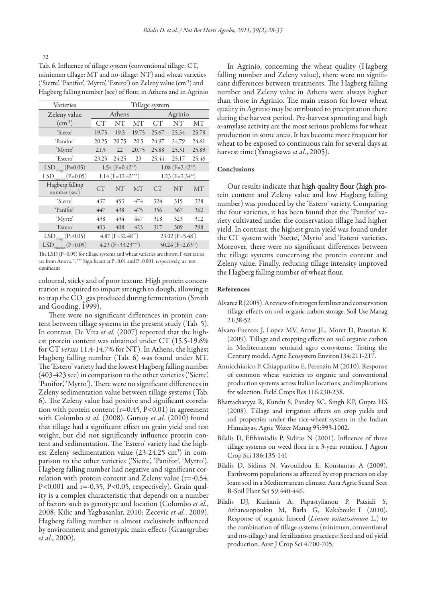Tab. 6. Influence of tillage system (conventional tillage: CT, minimum tillage: MT and no-tillage: NT) and wheat varieties ('Siette', 'Panifor', 'Myrto', 'Estero') on Zeleny value (cm-3 ) and Hagberg falling number (sec) of flour, in Athens and in Agrinio

| Varieties                           | Tillage system                  |                     |       |                                   |           |           |  |
|-------------------------------------|---------------------------------|---------------------|-------|-----------------------------------|-----------|-----------|--|
| Zeleny value                        | Athens                          |                     |       | Agrinio                           |           |           |  |
| $\rm (cm^{-3})$                     | СT                              | NΤ                  | МT    | CТ                                | NΤ        | MТ        |  |
| 'Siette'                            | 19.75                           | 19.5                | 19.75 | 25.67                             | 25.34     | 25.78     |  |
| 'Panifor'                           | 20.25                           | 20.75               | 20.5  | 24.97                             | 24.79     | 24.61     |  |
| 'Myrto'                             | 21.5                            | 22                  | 20.75 | 25.88                             | 25.31     | 25.89     |  |
| 'Estero'                            | 23.25                           | 24.25               | 23    | 25.44                             | 25.17     | 25.46     |  |
| $LSD_{\text{tillage}} (P=0.05)$     | $1.54$ (F=0.42 <sup>ns</sup> )  |                     |       | $1.08$ (F=2.42 <sup>ns</sup> )    |           |           |  |
| $LSD_{varieties}(P=0.05)$           |                                 | $1.14$ (F=12.42***) |       | 1.23 ( $F = 2.34$ <sup>ns</sup> ) |           |           |  |
| Hagberg falling<br>number (sec)     | <b>CT</b>                       | <b>NT</b>           | MT    | <b>CT</b>                         | <b>NT</b> | <b>MT</b> |  |
| 'Siette'                            | 437                             | 453                 | 474   | 324                               | 315       | 328       |  |
| 'Panifor'                           | 447                             | 438                 | 475   | 356                               | 367       | 362       |  |
| 'Myrto'                             | 438                             | 434                 | 447   | 318                               | 323       | 312       |  |
| 'Estero'                            | 403                             | 408                 | 423   | 317                               | 309       | 298       |  |
| $LSD$ <sub>tillage</sub> (P=0.05)   | $4.87$ (F=32.48 <sup>-1</sup> ) |                     |       | $23.02$ (F=5.48 <sup>*</sup> )    |           |           |  |
| $LSD$ <sub>varieties</sub> (P=0.05) | $4.23$ (F=33.23***)             |                     |       | 50.24 (F=2.63 <sup>ns)</sup>      |           |           |  |

The LSD (P=0.05) for tillage systems and wheat varieties are shown. F-test ratios are from Anova. \*, \*\*\* Significant at P=0.01 and P=0.001, respectively, ns: not significant

coloured, sticky and of poor texture. High protein concentration is required to impart strength to dough, allowing it to trap the  $\mathrm{CO}_2$  gas produced during fermentation (Smith and Gooding, 1999).

There were no significant differences in protein content between tillage systems in the present study (Tab. 5). In contrast, De Vita *et al.* (2007) reported that the highest protein content was obtained under CT (15.5-19.6% for CT *versus* 11.4-14.7% for NT). In Athens, the highest Hagberg falling number (Tab. 6) was found under MT. The 'Estero' variety had the lowest Hagberg falling number (403-423 sec) in comparison to the other varieties ('Siette', 'Panifor', 'Myrto'). There were no significant differences in Zeleny sedimentation value between tillage systems (Tab. 6). The Zeleny value had positive and significant correlation with protein content  $(r=0.45, P<0.01)$  in agreement with Colombo *et al.* (2008). Gursoy *et al.* (2010) found that tillage had a significant effect on grain yield and test weight, but did not significantly influence protein content and sedimentation. The 'Estero' variety had the highest Zeleny sedimentation value (23-24.25 cm<sup>3</sup>) in comparison to the other varieties ('Siette', 'Panifor', 'Myrto'). Hagberg falling number had negative and significant correlation with protein content and Zeleny value (r=-0.54, P<0.001 and  $r = -0.35$ , P<0.05, respectively). Grain quality is a complex characteristic that depends on a number of factors such as genotype and location (Colombo *et al.*, 2008; Kilic and Yagbasanlar, 2010; Zecevic *et al.*, 2009). Hagberg falling number is almost exclusively influenced by environment and genotypic main effects (Grausgruber *et al.,* 2000).

In Agrinio, concerning the wheat quality (Hagberg falling number and Zeleny value), there were no significant differences between treatments. The Hagberg falling number and Zeleny value in Athens were always higher than those in Agrinio. The main reason for lower wheat quality in Agrinio may be attributed to precipitation there during the harvest period. Pre-harvest sprouting and high α-amylase activity are the most serious problems for wheat production in some areas. It has become more frequent for wheat to be exposed to continuous rain for several days at harvest time(Yanagisawa *et al.*, 2005).

# Conclusions

Our results indicate that high quality flour (high protein content and Zeleny value and low Hagberg falling number) was produced by the 'Estero' variety. Comparing the four varieties, it has been found that the 'Panifor' variety cultivated under the conservation tillage had higher yield. In contrast, the highest grain yield was found under the CT system with 'Siette', 'Myrto' and 'Estero' varieties. Moreover, there were no significant differences between the tillage systems concerning the protein content and Zeleny value. Finally, reducing tillage intensity improved the Hagberg falling number of wheat flour.

#### References

- Alvarez R (2005). A review of nitrogen fertilizer and conservation tillage effects on soil organic carbon storage. Soil Use Manag 21:38-52.
- Alvaro-Fuentes J, Lopez MV, Arrue JL, Moret D, Paustian K (2009). Tillage and cropping effects on soil organic carbon in Mediterranean semiarid agro ecosystems: Testing the Century model. Agric Ecosystem Environ134:211-217.
- Annicchiarico P, Chiappariino E, Perenzin M (2010). Response of common wheat varieties to organic and conventional production systems across Italian locations, and implications for selection. Field Crops Res 116:230-238.
- Bhattacharyya R, Kundu S, Pandey SC, Singh KP, Gupta HS (2008). Tillage and irrigation effects on crop yields and soil properties under the rice-wheat system in the Indian Himalayas. Agric Water Manag 95:993-1002.
- Bilalis D, Efthimiadis P, Sidiras N (2001). Influence of three tillage systems on weed flora in a 3-year rotation. J Agron Crop Sci 186:135-141
- Bilalis D, Sidiras N, Vavoulidou E, Konstantas A (2009). Earthworm populations as affected by crop practices on clay loam soil in a Mediterranean climate. Acta Agric Scand Sect B-Soil Plant Sci 59:440-446.
- Bilalis DJ, Karkanis A, Papastylianou P, Patsiali S, Athanasopoulou M, Barla G, Kakabouki I (2010). Response of organic linseed (*Linum usitatissimum* L.) to the combination of tillage systems (minimum, conventional and no-tillage) and fertilization practices: Seed and oil yield production. Aust J Crop Sci 4:700-705.

#### 32